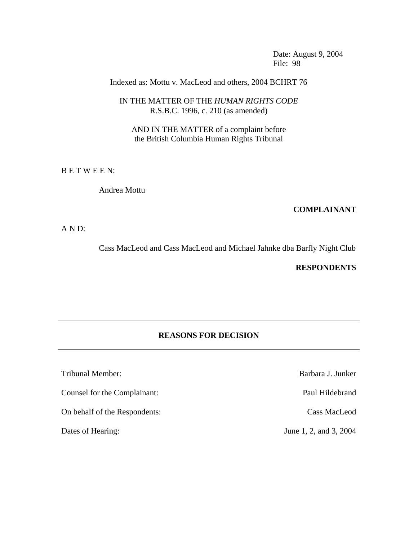Date: August 9, 2004 File: 98

## Indexed as: Mottu v. MacLeod and others, 2004 BCHRT 76

## IN THE MATTER OF THE *HUMAN RIGHTS CODE* R.S.B.C. 1996, c. 210 (as amended)

AND IN THE MATTER of a complaint before the British Columbia Human Rights Tribunal

B E T W E E N:

Andrea Mottu

#### **COMPLAINANT**

A N D:

Cass MacLeod and Cass MacLeod and Michael Jahnke dba Barfly Night Club

## **RESPONDENTS**

# **REASONS FOR DECISION**

Tribunal Member: Barbara J. Junker Counsel for the Complainant: Paul Hildebrand

On behalf of the Respondents: Cass MacLeod

Dates of Hearing: June 1, 2, and 3, 2004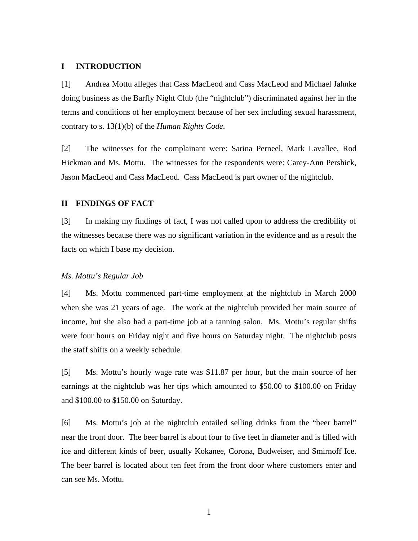### **I INTRODUCTION**

[1] Andrea Mottu alleges that Cass MacLeod and Cass MacLeod and Michael Jahnke doing business as the Barfly Night Club (the "nightclub") discriminated against her in the terms and conditions of her employment because of her sex including sexual harassment, contrary to s. 13(1)(b) of the *Human Rights Code*.

[2] The witnesses for the complainant were: Sarina Perneel, Mark Lavallee, Rod Hickman and Ms. Mottu. The witnesses for the respondents were: Carey-Ann Pershick, Jason MacLeod and Cass MacLeod. Cass MacLeod is part owner of the nightclub.

### **II FINDINGS OF FACT**

[3] In making my findings of fact, I was not called upon to address the credibility of the witnesses because there was no significant variation in the evidence and as a result the facts on which I base my decision.

#### *Ms. Mottu's Regular Job*

[4] Ms. Mottu commenced part-time employment at the nightclub in March 2000 when she was 21 years of age. The work at the nightclub provided her main source of income, but she also had a part-time job at a tanning salon. Ms. Mottu's regular shifts were four hours on Friday night and five hours on Saturday night. The nightclub posts the staff shifts on a weekly schedule.

[5] Ms. Mottu's hourly wage rate was \$11.87 per hour, but the main source of her earnings at the nightclub was her tips which amounted to \$50.00 to \$100.00 on Friday and \$100.00 to \$150.00 on Saturday.

[6] Ms. Mottu's job at the nightclub entailed selling drinks from the "beer barrel" near the front door. The beer barrel is about four to five feet in diameter and is filled with ice and different kinds of beer, usually Kokanee, Corona, Budweiser, and Smirnoff Ice. The beer barrel is located about ten feet from the front door where customers enter and can see Ms. Mottu.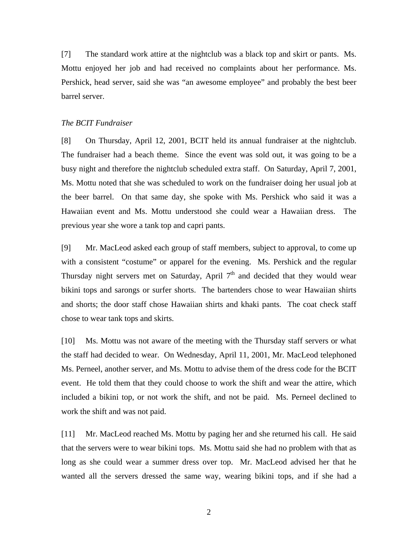[7] The standard work attire at the nightclub was a black top and skirt or pants. Ms. Mottu enjoyed her job and had received no complaints about her performance. Ms. Pershick, head server, said she was "an awesome employee" and probably the best beer barrel server.

#### *The BCIT Fundraiser*

[8] On Thursday, April 12, 2001, BCIT held its annual fundraiser at the nightclub. The fundraiser had a beach theme. Since the event was sold out, it was going to be a busy night and therefore the nightclub scheduled extra staff. On Saturday, April 7, 2001, Ms. Mottu noted that she was scheduled to work on the fundraiser doing her usual job at the beer barrel. On that same day, she spoke with Ms. Pershick who said it was a Hawaiian event and Ms. Mottu understood she could wear a Hawaiian dress. The previous year she wore a tank top and capri pants.

[9] Mr. MacLeod asked each group of staff members, subject to approval, to come up with a consistent "costume" or apparel for the evening. Ms. Pershick and the regular Thursday night servers met on Saturday, April  $7<sup>th</sup>$  and decided that they would wear bikini tops and sarongs or surfer shorts. The bartenders chose to wear Hawaiian shirts and shorts; the door staff chose Hawaiian shirts and khaki pants. The coat check staff chose to wear tank tops and skirts.

[10] Ms. Mottu was not aware of the meeting with the Thursday staff servers or what the staff had decided to wear. On Wednesday, April 11, 2001, Mr. MacLeod telephoned Ms. Perneel, another server, and Ms. Mottu to advise them of the dress code for the BCIT event. He told them that they could choose to work the shift and wear the attire, which included a bikini top, or not work the shift, and not be paid. Ms. Perneel declined to work the shift and was not paid.

[11] Mr. MacLeod reached Ms. Mottu by paging her and she returned his call. He said that the servers were to wear bikini tops. Ms. Mottu said she had no problem with that as long as she could wear a summer dress over top. Mr. MacLeod advised her that he wanted all the servers dressed the same way, wearing bikini tops, and if she had a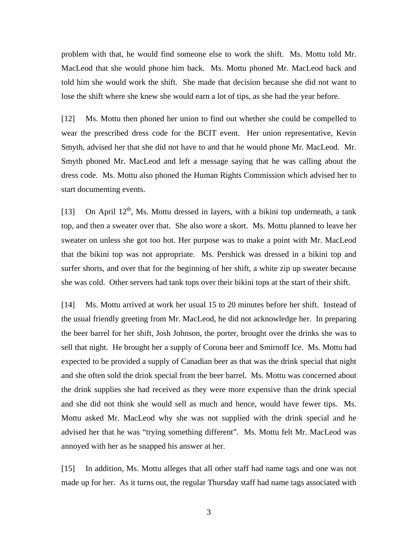problem with that, he would find someone else to work the shift. Ms. Mottu told Mr. MacLeod that she would phone him back. Ms. Mottu phoned Mr. MacLeod back and told him she would work the shift. She made that decision because she did not want to lose the shift where she knew she would earn a lot of tips, as she had the year before.

[12] Ms. Mottu then phoned her union to find out whether she could be compelled to wear the prescribed dress code for the BCIT event. Her union representative, Kevin Smyth, advised her that she did not have to and that he would phone Mr. MacLeod. Mr. Smyth phoned Mr. MacLeod and left a message saying that he was calling about the dress code. Ms. Mottu also phoned the Human Rights Commission which advised her to start documenting events.

[13] On April  $12<sup>th</sup>$ , Ms. Mottu dressed in layers, with a bikini top underneath, a tank top, and then a sweater over that. She also wore a skort. Ms. Mottu planned to leave her sweater on unless she got too hot. Her purpose was to make a point with Mr. MacLeod that the bikini top was not appropriate. Ms. Pershick was dressed in a bikini top and surfer shorts, and over that for the beginning of her shift, a white zip up sweater because she was cold. Other servers had tank tops over their bikini tops at the start of their shift.

[14] Ms. Mottu arrived at work her usual 15 to 20 minutes before her shift. Instead of the usual friendly greeting from Mr. MacLeod, he did not acknowledge her. In preparing the beer barrel for her shift, Josh Johnson, the porter, brought over the drinks she was to sell that night. He brought her a supply of Corona beer and Smirnoff Ice. Ms. Mottu had expected to be provided a supply of Canadian beer as that was the drink special that night and she often sold the drink special from the beer barrel. Ms. Mottu was concerned about the drink supplies she had received as they were more expensive than the drink special and she did not think she would sell as much and hence, would have fewer tips. Ms. Mottu asked Mr. MacLeod why she was not supplied with the drink special and he advised her that he was "trying something different". Ms. Mottu felt Mr. MacLeod was annoyed with her as he snapped his answer at her.

[15] In addition, Ms. Mottu alleges that all other staff had name tags and one was not made up for her. As it turns out, the regular Thursday staff had name tags associated with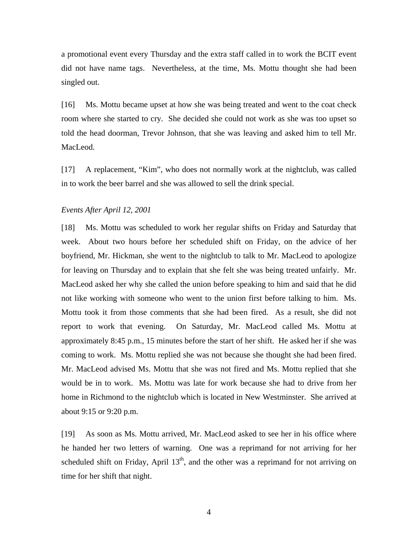a promotional event every Thursday and the extra staff called in to work the BCIT event did not have name tags. Nevertheless, at the time, Ms. Mottu thought she had been singled out.

[16] Ms. Mottu became upset at how she was being treated and went to the coat check room where she started to cry. She decided she could not work as she was too upset so told the head doorman, Trevor Johnson, that she was leaving and asked him to tell Mr. MacLeod.

[17] A replacement, "Kim", who does not normally work at the nightclub, was called in to work the beer barrel and she was allowed to sell the drink special.

### *Events After April 12, 2001*

[18] Ms. Mottu was scheduled to work her regular shifts on Friday and Saturday that week. About two hours before her scheduled shift on Friday, on the advice of her boyfriend, Mr. Hickman, she went to the nightclub to talk to Mr. MacLeod to apologize for leaving on Thursday and to explain that she felt she was being treated unfairly. Mr. MacLeod asked her why she called the union before speaking to him and said that he did not like working with someone who went to the union first before talking to him. Ms. Mottu took it from those comments that she had been fired. As a result, she did not report to work that evening. On Saturday, Mr. MacLeod called Ms. Mottu at approximately 8:45 p.m., 15 minutes before the start of her shift. He asked her if she was coming to work. Ms. Mottu replied she was not because she thought she had been fired. Mr. MacLeod advised Ms. Mottu that she was not fired and Ms. Mottu replied that she would be in to work. Ms. Mottu was late for work because she had to drive from her home in Richmond to the nightclub which is located in New Westminster. She arrived at about 9:15 or 9:20 p.m.

[19] As soon as Ms. Mottu arrived, Mr. MacLeod asked to see her in his office where he handed her two letters of warning. One was a reprimand for not arriving for her scheduled shift on Friday, April  $13<sup>th</sup>$ , and the other was a reprimand for not arriving on time for her shift that night.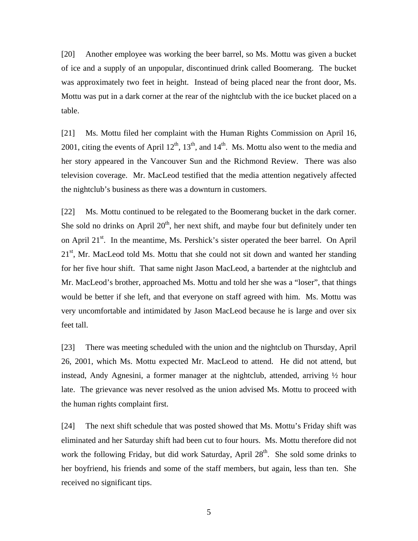[20] Another employee was working the beer barrel, so Ms. Mottu was given a bucket of ice and a supply of an unpopular, discontinued drink called Boomerang. The bucket was approximately two feet in height. Instead of being placed near the front door, Ms. Mottu was put in a dark corner at the rear of the nightclub with the ice bucket placed on a table.

[21] Ms. Mottu filed her complaint with the Human Rights Commission on April 16, 2001, citing the events of April  $12<sup>th</sup>$ ,  $13<sup>th</sup>$ , and  $14<sup>th</sup>$ . Ms. Mottu also went to the media and her story appeared in the Vancouver Sun and the Richmond Review. There was also television coverage. Mr. MacLeod testified that the media attention negatively affected the nightclub's business as there was a downturn in customers.

[22] Ms. Mottu continued to be relegated to the Boomerang bucket in the dark corner. She sold no drinks on April  $20<sup>th</sup>$ , her next shift, and maybe four but definitely under ten on April  $21^{st}$ . In the meantime, Ms. Pershick's sister operated the beer barrel. On April  $21<sup>st</sup>$ , Mr. MacLeod told Ms. Mottu that she could not sit down and wanted her standing for her five hour shift. That same night Jason MacLeod, a bartender at the nightclub and Mr. MacLeod's brother, approached Ms. Mottu and told her she was a "loser", that things would be better if she left, and that everyone on staff agreed with him. Ms. Mottu was very uncomfortable and intimidated by Jason MacLeod because he is large and over six feet tall.

[23] There was meeting scheduled with the union and the nightclub on Thursday, April 26, 2001, which Ms. Mottu expected Mr. MacLeod to attend. He did not attend, but instead, Andy Agnesini, a former manager at the nightclub, attended, arriving ½ hour late. The grievance was never resolved as the union advised Ms. Mottu to proceed with the human rights complaint first.

[24] The next shift schedule that was posted showed that Ms. Mottu's Friday shift was eliminated and her Saturday shift had been cut to four hours. Ms. Mottu therefore did not work the following Friday, but did work Saturday, April 28<sup>th</sup>. She sold some drinks to her boyfriend, his friends and some of the staff members, but again, less than ten. She received no significant tips.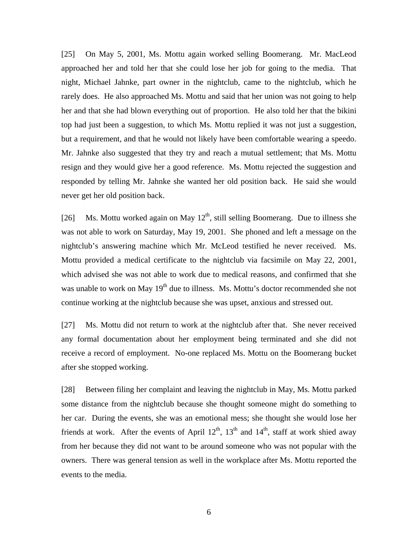[25] On May 5, 2001, Ms. Mottu again worked selling Boomerang. Mr. MacLeod approached her and told her that she could lose her job for going to the media. That night, Michael Jahnke, part owner in the nightclub, came to the nightclub, which he rarely does. He also approached Ms. Mottu and said that her union was not going to help her and that she had blown everything out of proportion. He also told her that the bikini top had just been a suggestion, to which Ms. Mottu replied it was not just a suggestion, but a requirement, and that he would not likely have been comfortable wearing a speedo. Mr. Jahnke also suggested that they try and reach a mutual settlement; that Ms. Mottu resign and they would give her a good reference. Ms. Mottu rejected the suggestion and responded by telling Mr. Jahnke she wanted her old position back. He said she would never get her old position back.

[26] Ms. Mottu worked again on May  $12^{th}$ , still selling Boomerang. Due to illness she was not able to work on Saturday, May 19, 2001. She phoned and left a message on the nightclub's answering machine which Mr. McLeod testified he never received. Ms. Mottu provided a medical certificate to the nightclub via facsimile on May 22, 2001, which advised she was not able to work due to medical reasons, and confirmed that she was unable to work on May  $19<sup>th</sup>$  due to illness. Ms. Mottu's doctor recommended she not continue working at the nightclub because she was upset, anxious and stressed out.

[27] Ms. Mottu did not return to work at the nightclub after that. She never received any formal documentation about her employment being terminated and she did not receive a record of employment. No-one replaced Ms. Mottu on the Boomerang bucket after she stopped working.

[28] Between filing her complaint and leaving the nightclub in May, Ms. Mottu parked some distance from the nightclub because she thought someone might do something to her car. During the events, she was an emotional mess; she thought she would lose her friends at work. After the events of April  $12<sup>th</sup>$ ,  $13<sup>th</sup>$  and  $14<sup>th</sup>$ , staff at work shied away from her because they did not want to be around someone who was not popular with the owners. There was general tension as well in the workplace after Ms. Mottu reported the events to the media.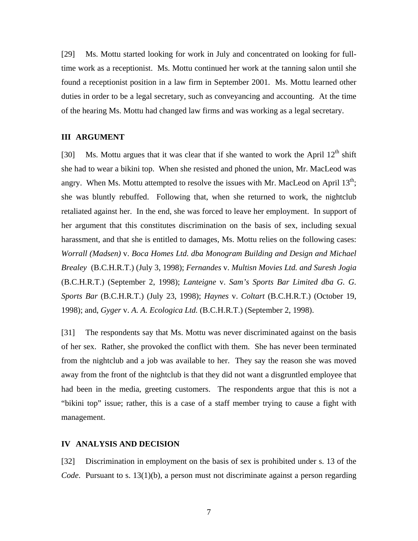[29] Ms. Mottu started looking for work in July and concentrated on looking for fulltime work as a receptionist. Ms. Mottu continued her work at the tanning salon until she found a receptionist position in a law firm in September 2001. Ms. Mottu learned other duties in order to be a legal secretary, such as conveyancing and accounting. At the time of the hearing Ms. Mottu had changed law firms and was working as a legal secretary.

### **III ARGUMENT**

[30] Ms. Mottu argues that it was clear that if she wanted to work the April  $12<sup>th</sup>$  shift she had to wear a bikini top. When she resisted and phoned the union, Mr. MacLeod was angry. When Ms. Mottu attempted to resolve the issues with Mr. MacLeod on April  $13<sup>th</sup>$ ; she was bluntly rebuffed. Following that, when she returned to work, the nightclub retaliated against her. In the end, she was forced to leave her employment. In support of her argument that this constitutes discrimination on the basis of sex, including sexual harassment, and that she is entitled to damages, Ms. Mottu relies on the following cases: *Worrall (Madsen)* v. *Boca Homes Ltd. dba Monogram Building and Design and Michael Brealey* (B.C.H.R.T.) (July 3, 1998); *Fernandes* v. *Multisn Movies Ltd. and Suresh Jogia* (B.C.H.R.T.) (September 2, 1998); *Lanteigne* v. *Sam's Sports Bar Limited dba G. G. Sports Bar* (B.C.H.R.T.) (July 23, 1998); *Haynes* v. *Coltart* (B.C.H.R.T.) (October 19, 1998); and, *Gyger* v. *A. A. Ecologica Ltd.* (B.C.H.R.T.) (September 2, 1998).

[31] The respondents say that Ms. Mottu was never discriminated against on the basis of her sex. Rather, she provoked the conflict with them. She has never been terminated from the nightclub and a job was available to her. They say the reason she was moved away from the front of the nightclub is that they did not want a disgruntled employee that had been in the media, greeting customers. The respondents argue that this is not a "bikini top" issue; rather, this is a case of a staff member trying to cause a fight with management.

### **IV ANALYSIS AND DECISION**

[32] Discrimination in employment on the basis of sex is prohibited under s. 13 of the *Code*. Pursuant to s. 13(1)(b), a person must not discriminate against a person regarding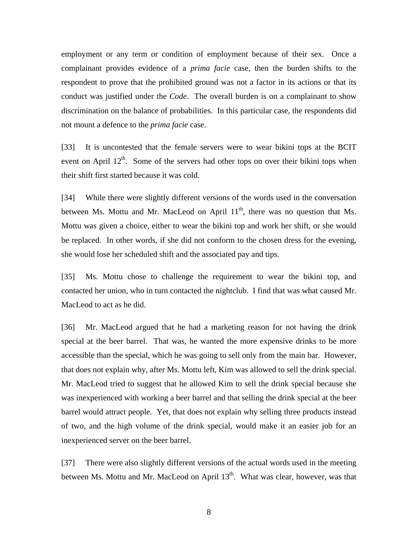employment or any term or condition of employment because of their sex. Once a complainant provides evidence of a *prima facie* case, then the burden shifts to the respondent to prove that the prohibited ground was not a factor in its actions or that its conduct was justified under the *Code*. The overall burden is on a complainant to show discrimination on the balance of probabilities. In this particular case, the respondents did not mount a defence to the *prima facie* case.

[33] It is uncontested that the female servers were to wear bikini tops at the BCIT event on April  $12<sup>th</sup>$ . Some of the servers had other tops on over their bikini tops when their shift first started because it was cold.

[34] While there were slightly different versions of the words used in the conversation between Ms. Mottu and Mr. MacLeod on April  $11<sup>th</sup>$ , there was no question that Ms. Mottu was given a choice, either to wear the bikini top and work her shift, or she would be replaced. In other words, if she did not conform to the chosen dress for the evening, she would lose her scheduled shift and the associated pay and tips.

[35] Ms. Mottu chose to challenge the requirement to wear the bikini top, and contacted her union, who in turn contacted the nightclub. I find that was what caused Mr. MacLeod to act as he did.

[36] Mr. MacLeod argued that he had a marketing reason for not having the drink special at the beer barrel. That was, he wanted the more expensive drinks to be more accessible than the special, which he was going to sell only from the main bar. However, that does not explain why, after Ms. Mottu left, Kim was allowed to sell the drink special. Mr. MacLeod tried to suggest that he allowed Kim to sell the drink special because she was inexperienced with working a beer barrel and that selling the drink special at the beer barrel would attract people. Yet, that does not explain why selling three products instead of two, and the high volume of the drink special, would make it an easier job for an inexperienced server on the beer barrel.

[37] There were also slightly different versions of the actual words used in the meeting between Ms. Mottu and Mr. MacLeod on April  $13<sup>th</sup>$ . What was clear, however, was that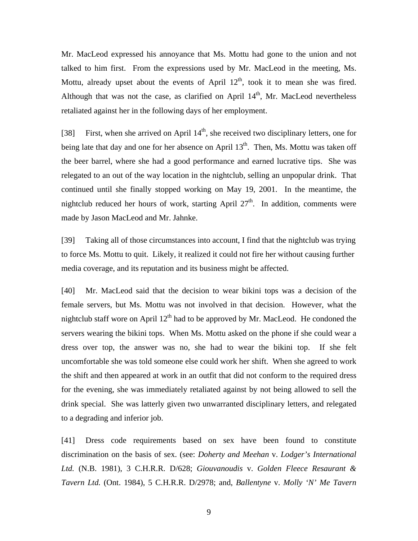Mr. MacLeod expressed his annoyance that Ms. Mottu had gone to the union and not talked to him first. From the expressions used by Mr. MacLeod in the meeting, Ms. Mottu, already upset about the events of April  $12<sup>th</sup>$ , took it to mean she was fired. Although that was not the case, as clarified on April  $14<sup>th</sup>$ , Mr. MacLeod nevertheless retaliated against her in the following days of her employment.

[38] First, when she arrived on April  $14<sup>th</sup>$ , she received two disciplinary letters, one for being late that day and one for her absence on April  $13<sup>th</sup>$ . Then, Ms. Mottu was taken off the beer barrel, where she had a good performance and earned lucrative tips. She was relegated to an out of the way location in the nightclub, selling an unpopular drink. That continued until she finally stopped working on May 19, 2001. In the meantime, the nightclub reduced her hours of work, starting April  $27<sup>th</sup>$ . In addition, comments were made by Jason MacLeod and Mr. Jahnke.

[39] Taking all of those circumstances into account, I find that the nightclub was trying to force Ms. Mottu to quit. Likely, it realized it could not fire her without causing further media coverage, and its reputation and its business might be affected.

[40] Mr. MacLeod said that the decision to wear bikini tops was a decision of the female servers, but Ms. Mottu was not involved in that decision. However, what the nightclub staff wore on April  $12<sup>th</sup>$  had to be approved by Mr. MacLeod. He condoned the servers wearing the bikini tops. When Ms. Mottu asked on the phone if she could wear a dress over top, the answer was no, she had to wear the bikini top. If she felt uncomfortable she was told someone else could work her shift. When she agreed to work the shift and then appeared at work in an outfit that did not conform to the required dress for the evening, she was immediately retaliated against by not being allowed to sell the drink special. She was latterly given two unwarranted disciplinary letters, and relegated to a degrading and inferior job.

[41] Dress code requirements based on sex have been found to constitute discrimination on the basis of sex. (see: *Doherty and Meehan* v. *Lodger's International Ltd.* (N.B. 1981), 3 C.H.R.R. D/628; *Giouvanoudis* v. *Golden Fleece Resaurant & Tavern Ltd.* (Ont. 1984), 5 C.H.R.R. D/2978; and, *Ballentyne* v. *Molly 'N' Me Tavern*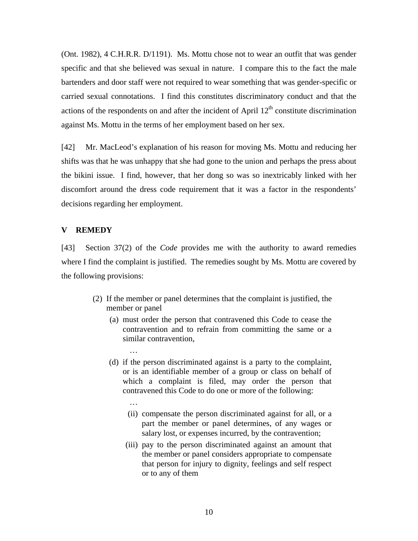(Ont. 1982), 4 C.H.R.R. D/1191). Ms. Mottu chose not to wear an outfit that was gender specific and that she believed was sexual in nature. I compare this to the fact the male bartenders and door staff were not required to wear something that was gender-specific or carried sexual connotations. I find this constitutes discriminatory conduct and that the actions of the respondents on and after the incident of April  $12<sup>th</sup>$  constitute discrimination against Ms. Mottu in the terms of her employment based on her sex.

[42] Mr. MacLeod's explanation of his reason for moving Ms. Mottu and reducing her shifts was that he was unhappy that she had gone to the union and perhaps the press about the bikini issue. I find, however, that her dong so was so inextricably linked with her discomfort around the dress code requirement that it was a factor in the respondents' decisions regarding her employment.

## **V REMEDY**

man and the contract of the

man and the contract of the

[43] Section 37(2) of the *Code* provides me with the authority to award remedies where I find the complaint is justified. The remedies sought by Ms. Mottu are covered by the following provisions:

- (2) If the member or panel determines that the complaint is justified, the member or panel
	- (a) must order the person that contravened this Code to cease the contravention and to refrain from committing the same or a similar contravention,
	- (d) if the person discriminated against is a party to the complaint, or is an identifiable member of a group or class on behalf of which a complaint is filed, may order the person that contravened this Code to do one or more of the following:
		- (ii) compensate the person discriminated against for all, or a part the member or panel determines, of any wages or salary lost, or expenses incurred, by the contravention;
		- (iii) pay to the person discriminated against an amount that the member or panel considers appropriate to compensate that person for injury to dignity, feelings and self respect or to any of them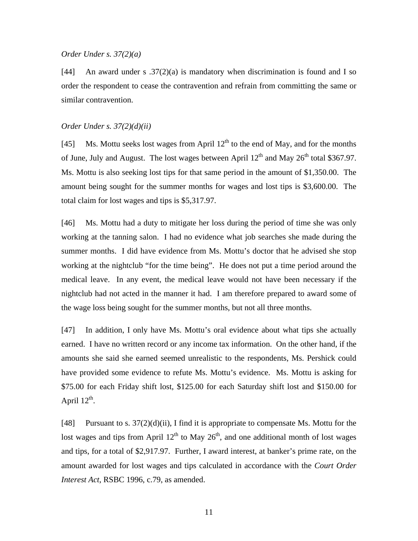#### *Order Under s. 37(2)(a)*

[44] An award under s  $.37(2)(a)$  is mandatory when discrimination is found and I so order the respondent to cease the contravention and refrain from committing the same or similar contravention.

### *Order Under s. 37(2)(d)(ii)*

[45] Ms. Mottu seeks lost wages from April  $12<sup>th</sup>$  to the end of May, and for the months of June, July and August. The lost wages between April  $12<sup>th</sup>$  and May  $26<sup>th</sup>$  total \$367.97. Ms. Mottu is also seeking lost tips for that same period in the amount of \$1,350.00. The amount being sought for the summer months for wages and lost tips is \$3,600.00. The total claim for lost wages and tips is \$5,317.97.

[46] Ms. Mottu had a duty to mitigate her loss during the period of time she was only working at the tanning salon. I had no evidence what job searches she made during the summer months. I did have evidence from Ms. Mottu's doctor that he advised she stop working at the nightclub "for the time being". He does not put a time period around the medical leave. In any event, the medical leave would not have been necessary if the nightclub had not acted in the manner it had. I am therefore prepared to award some of the wage loss being sought for the summer months, but not all three months.

[47] In addition, I only have Ms. Mottu's oral evidence about what tips she actually earned. I have no written record or any income tax information. On the other hand, if the amounts she said she earned seemed unrealistic to the respondents, Ms. Pershick could have provided some evidence to refute Ms. Mottu's evidence. Ms. Mottu is asking for \$75.00 for each Friday shift lost, \$125.00 for each Saturday shift lost and \$150.00 for April  $12^{th}$ .

[48] Pursuant to s.  $37(2)(d)(ii)$ , I find it is appropriate to compensate Ms. Mottu for the lost wages and tips from April  $12<sup>th</sup>$  to May  $26<sup>th</sup>$ , and one additional month of lost wages and tips, for a total of \$2,917.97. Further, I award interest, at banker's prime rate, on the amount awarded for lost wages and tips calculated in accordance with the *Court Order Interest Act*, RSBC 1996, c.79, as amended.